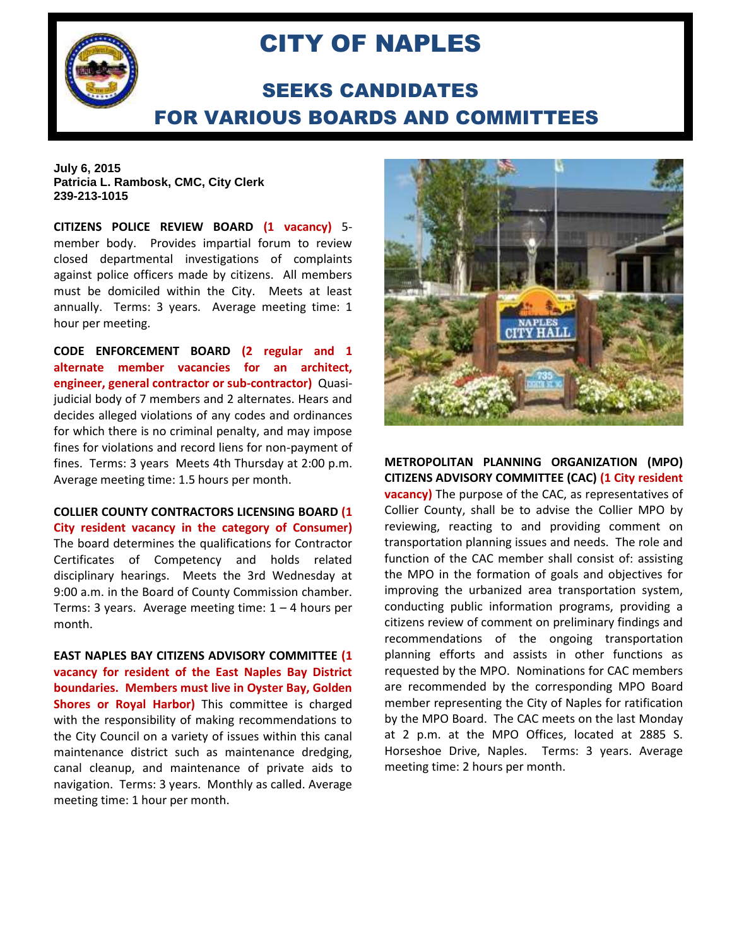

## CITY OF NAPLES

## SEEKS CANDIDATES FOR VARIOUS BOARDS AND COMMITTEES

## **July 6, 2015 Patricia L. Rambosk, CMC, City Clerk 239-213-1015**

**CITIZENS POLICE REVIEW BOARD (1 vacancy)** 5 member body. Provides impartial forum to review closed departmental investigations of complaints against police officers made by citizens. All members must be domiciled within the City. Meets at least annually. Terms: 3 years. Average meeting time: 1 hour per meeting.

**CODE ENFORCEMENT BOARD (2 regular and 1 alternate member vacancies for an architect, engineer, general contractor or sub-contractor)** Quasijudicial body of 7 members and 2 alternates. Hears and decides alleged violations of any codes and ordinances for which there is no criminal penalty, and may impose fines for violations and record liens for non-payment of fines. Terms: 3 years Meets 4th Thursday at 2:00 p.m. Average meeting time: 1.5 hours per month.

**COLLIER COUNTY CONTRACTORS LICENSING BOARD (1 City resident vacancy in the category of Consumer)**  The board determines the qualifications for Contractor Certificates of Competency and holds related disciplinary hearings. Meets the 3rd Wednesday at 9:00 a.m. in the Board of County Commission chamber. Terms: 3 years. Average meeting time:  $1 - 4$  hours per month.

**EAST NAPLES BAY CITIZENS ADVISORY COMMITTEE (1 vacancy for resident of the East Naples Bay District boundaries. Members must live in Oyster Bay, Golden Shores or Royal Harbor)** This committee is charged with the responsibility of making recommendations to the City Council on a variety of issues within this canal maintenance district such as maintenance dredging, canal cleanup, and maintenance of private aids to navigation. Terms: 3 years. Monthly as called. Average meeting time: 1 hour per month.



**METROPOLITAN PLANNING ORGANIZATION (MPO) CITIZENS ADVISORY COMMITTEE (CAC) (1 City resident vacancy)** The purpose of the CAC, as representatives of Collier County, shall be to advise the Collier MPO by reviewing, reacting to and providing comment on transportation planning issues and needs. The role and function of the CAC member shall consist of: assisting the MPO in the formation of goals and objectives for improving the urbanized area transportation system, conducting public information programs, providing a citizens review of comment on preliminary findings and recommendations of the ongoing transportation planning efforts and assists in other functions as requested by the MPO. Nominations for CAC members are recommended by the corresponding MPO Board member representing the City of Naples for ratification by the MPO Board. The CAC meets on the last Monday at 2 p.m. at the MPO Offices, located at 2885 S. Horseshoe Drive, Naples. Terms: 3 years. Average meeting time: 2 hours per month.